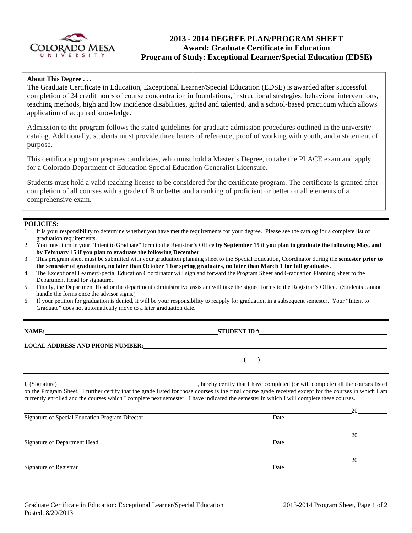

# 2013 - 2014 DEGREE PLAN/PROGRAM SHEET **Award: Graduate Certificate in Education** Program of Study: Exceptional Learner/Special Education (EDSE)

## About This Degree...

The Graduate Certificate in Education, Exceptional Learner/Special Education (EDSE) is awarded after successful completion of 24 credit hours of course concentration in foundations, instructional strategies, behavioral interventions, teaching methods, high and low incidence disabilities, gifted and talented, and a school-based practicum which allows application of acquired knowledge.

Admission to the program follows the stated guidelines for graduate admission procedures outlined in the university catalog. Additionally, students must provide three letters of reference, proof of working with youth, and a statement of purpose.

This certificate program prepares candidates, who must hold a Master's Degree, to take the PLACE exam and apply for a Colorado Department of Education Special Education Generalist Licensure.

Students must hold a valid teaching license to be considered for the certificate program. The certificate is granted after completion of all courses with a grade of B or better and a ranking of proficient or better on all elements of a comprehensive exam.

## POLICIES:

| 1. It is your responsibility to determine whether you have met the requirements for your degree. Please see the catalog for a complete list of |
|------------------------------------------------------------------------------------------------------------------------------------------------|
| graduation requirements.                                                                                                                       |

- You must turn in your "Intent to Graduate" form to the Registrar's Office by September 15 if you plan to graduate the following May, and  $2<sub>1</sub>$ by February 15 if you plan to graduate the following December.
- This program sheet must be submitted with your graduation planning sheet to the Special Education, Coordinator during the semester prior to 3. the semester of graduation, no later than October 1 for spring graduates, no later than March 1 for fall graduates.
- The Exceptional Learner/Special Education Coordinator will sign and forward the Program Sheet and Graduation Planning Sheet to the  $\overline{4}$ . Department Head for signature.
- 5. Finally, the Department Head or the department administrative assistant will take the signed forms to the Registrar's Office. (Students cannot handle the forms once the advisor signs.)
- If your petition for graduation is denied, it will be your responsibility to reapply for graduation in a subsequent semester. Your "Intent to 6. Graduate" does not automatically move to a later graduation date.

### NAME:

STUDENT ID  $#$ 

-6

### **LOCAL ADDRESS AND PHONE NUMBER:**

hereby certify that I have completed (or will complete) all the courses listed I, (Signature) on the Program Sheet. I further certify that the grade listed for those courses is the final course grade received except for the courses in which I am currently enrolled and the courses which I complete next semester. I have indicated the semester in which I will complete these courses.

|                                                 |      | 2U. |
|-------------------------------------------------|------|-----|
| Signature of Special Education Program Director | Date |     |
|                                                 |      | 20  |
| Signature of Department Head                    | Date |     |
|                                                 |      | 20  |
| Signature of Registrar                          | Date |     |

 $\overline{20}$ 

 $\begin{array}{c}\n\hline\n\end{array}$